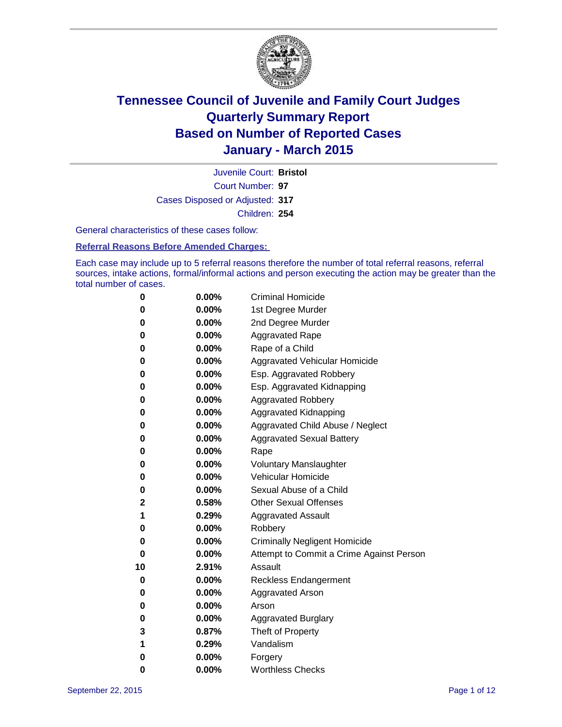

Court Number: **97** Juvenile Court: **Bristol** Cases Disposed or Adjusted: **317** Children: **254**

General characteristics of these cases follow:

**Referral Reasons Before Amended Charges:** 

Each case may include up to 5 referral reasons therefore the number of total referral reasons, referral sources, intake actions, formal/informal actions and person executing the action may be greater than the total number of cases.

| 0  | 0.00%    | <b>Criminal Homicide</b>                 |
|----|----------|------------------------------------------|
| 0  | 0.00%    | 1st Degree Murder                        |
| 0  | 0.00%    | 2nd Degree Murder                        |
| 0  | 0.00%    | <b>Aggravated Rape</b>                   |
| 0  | 0.00%    | Rape of a Child                          |
| 0  | 0.00%    | Aggravated Vehicular Homicide            |
| 0  | 0.00%    | Esp. Aggravated Robbery                  |
| 0  | 0.00%    | Esp. Aggravated Kidnapping               |
| 0  | $0.00\%$ | <b>Aggravated Robbery</b>                |
| 0  | 0.00%    | Aggravated Kidnapping                    |
| 0  | 0.00%    | Aggravated Child Abuse / Neglect         |
| 0  | 0.00%    | <b>Aggravated Sexual Battery</b>         |
| 0  | 0.00%    | Rape                                     |
| 0  | $0.00\%$ | <b>Voluntary Manslaughter</b>            |
| 0  | 0.00%    | <b>Vehicular Homicide</b>                |
| 0  | 0.00%    | Sexual Abuse of a Child                  |
| 2  | 0.58%    | <b>Other Sexual Offenses</b>             |
| 1  | 0.29%    | <b>Aggravated Assault</b>                |
| 0  | 0.00%    | Robbery                                  |
| 0  | 0.00%    | <b>Criminally Negligent Homicide</b>     |
| 0  | 0.00%    | Attempt to Commit a Crime Against Person |
| 10 | 2.91%    | Assault                                  |
| 0  | 0.00%    | <b>Reckless Endangerment</b>             |
| 0  | $0.00\%$ | <b>Aggravated Arson</b>                  |
| 0  | 0.00%    | Arson                                    |
| 0  | 0.00%    | <b>Aggravated Burglary</b>               |
| 3  | 0.87%    | Theft of Property                        |
| 1  | 0.29%    | Vandalism                                |
| 0  | 0.00%    | Forgery                                  |
| 0  | 0.00%    | <b>Worthless Checks</b>                  |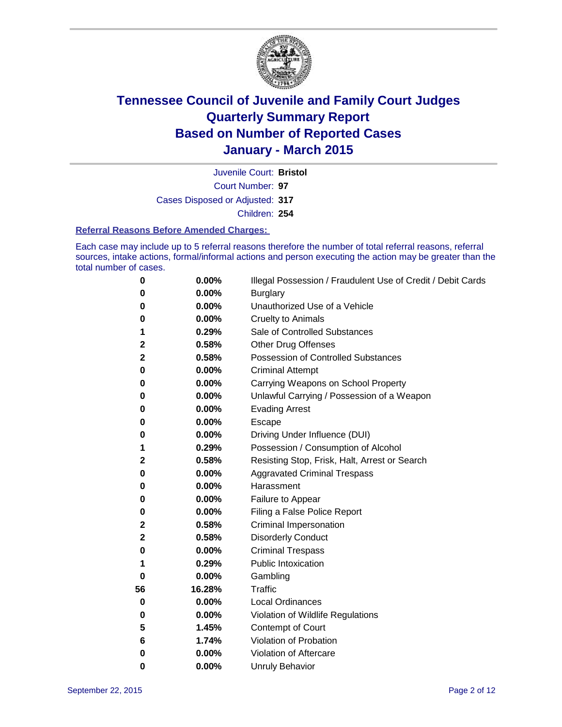

Court Number: **97** Juvenile Court: **Bristol** Cases Disposed or Adjusted: **317** Children: **254**

#### **Referral Reasons Before Amended Charges:**

Each case may include up to 5 referral reasons therefore the number of total referral reasons, referral sources, intake actions, formal/informal actions and person executing the action may be greater than the total number of cases.

| 0        | 0.00%  | Illegal Possession / Fraudulent Use of Credit / Debit Cards |
|----------|--------|-------------------------------------------------------------|
| 0        | 0.00%  | <b>Burglary</b>                                             |
| 0        | 0.00%  | Unauthorized Use of a Vehicle                               |
| 0        | 0.00%  | <b>Cruelty to Animals</b>                                   |
| 1        | 0.29%  | Sale of Controlled Substances                               |
| 2        | 0.58%  | <b>Other Drug Offenses</b>                                  |
| 2        | 0.58%  | Possession of Controlled Substances                         |
| 0        | 0.00%  | <b>Criminal Attempt</b>                                     |
| 0        | 0.00%  | Carrying Weapons on School Property                         |
| 0        | 0.00%  | Unlawful Carrying / Possession of a Weapon                  |
| 0        | 0.00%  | <b>Evading Arrest</b>                                       |
| 0        | 0.00%  | Escape                                                      |
| 0        | 0.00%  | Driving Under Influence (DUI)                               |
| 1        | 0.29%  | Possession / Consumption of Alcohol                         |
| 2        | 0.58%  | Resisting Stop, Frisk, Halt, Arrest or Search               |
| 0        | 0.00%  | <b>Aggravated Criminal Trespass</b>                         |
| 0        | 0.00%  | Harassment                                                  |
| 0        | 0.00%  | Failure to Appear                                           |
| 0        | 0.00%  | Filing a False Police Report                                |
| 2        | 0.58%  | <b>Criminal Impersonation</b>                               |
| 2        | 0.58%  | <b>Disorderly Conduct</b>                                   |
| 0        | 0.00%  | <b>Criminal Trespass</b>                                    |
| 1        | 0.29%  | <b>Public Intoxication</b>                                  |
| $\bf{0}$ | 0.00%  | Gambling                                                    |
| 56       | 16.28% | <b>Traffic</b>                                              |
| 0        | 0.00%  | <b>Local Ordinances</b>                                     |
| 0        | 0.00%  | Violation of Wildlife Regulations                           |
| 5        | 1.45%  | Contempt of Court                                           |
| 6        | 1.74%  | Violation of Probation                                      |
| 0        | 0.00%  | Violation of Aftercare                                      |
| 0        | 0.00%  | <b>Unruly Behavior</b>                                      |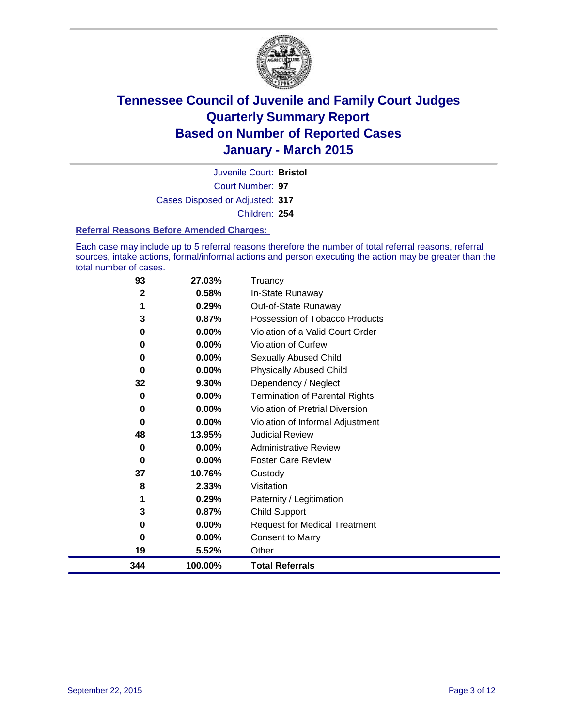

Court Number: **97** Juvenile Court: **Bristol** Cases Disposed or Adjusted: **317** Children: **254**

#### **Referral Reasons Before Amended Charges:**

Each case may include up to 5 referral reasons therefore the number of total referral reasons, referral sources, intake actions, formal/informal actions and person executing the action may be greater than the total number of cases.

| 93  | 27.03%  | Truancy                                |
|-----|---------|----------------------------------------|
| 2   | 0.58%   | In-State Runaway                       |
| 1   | 0.29%   | Out-of-State Runaway                   |
| 3   | 0.87%   | Possession of Tobacco Products         |
| 0   | 0.00%   | Violation of a Valid Court Order       |
| 0   | 0.00%   | Violation of Curfew                    |
| 0   | 0.00%   | Sexually Abused Child                  |
| 0   | 0.00%   | <b>Physically Abused Child</b>         |
| 32  | 9.30%   | Dependency / Neglect                   |
| 0   | 0.00%   | <b>Termination of Parental Rights</b>  |
| 0   | 0.00%   | <b>Violation of Pretrial Diversion</b> |
| 0   | 0.00%   | Violation of Informal Adjustment       |
| 48  | 13.95%  | <b>Judicial Review</b>                 |
| 0   | 0.00%   | <b>Administrative Review</b>           |
| 0   | 0.00%   | <b>Foster Care Review</b>              |
| 37  | 10.76%  | Custody                                |
| 8   | 2.33%   | Visitation                             |
| 1   | 0.29%   | Paternity / Legitimation               |
| 3   | 0.87%   | Child Support                          |
| 0   | 0.00%   | <b>Request for Medical Treatment</b>   |
| 0   | 0.00%   | <b>Consent to Marry</b>                |
| 19  | 5.52%   | Other                                  |
| 344 | 100.00% | <b>Total Referrals</b>                 |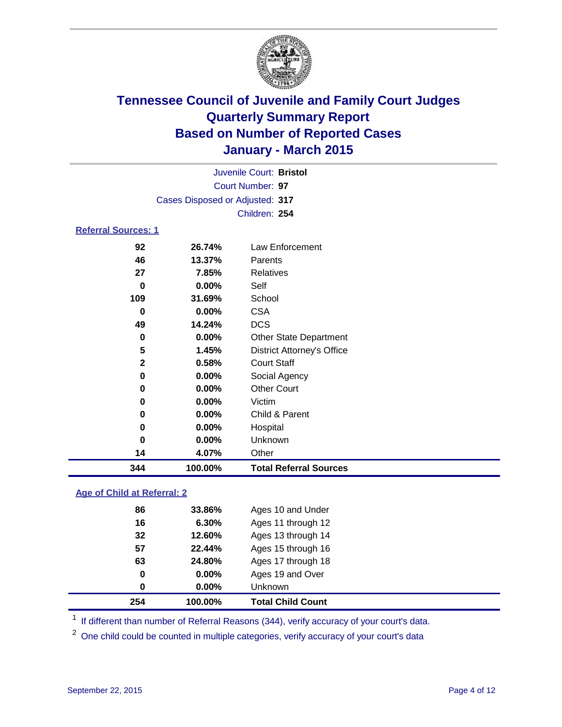

|                            | Juvenile Court: Bristol                   |                                   |  |  |  |  |
|----------------------------|-------------------------------------------|-----------------------------------|--|--|--|--|
|                            | Court Number: 97                          |                                   |  |  |  |  |
|                            | Cases Disposed or Adjusted: 317           |                                   |  |  |  |  |
|                            |                                           | Children: 254                     |  |  |  |  |
| <b>Referral Sources: 1</b> |                                           |                                   |  |  |  |  |
| 92                         | 26.74%                                    | Law Enforcement                   |  |  |  |  |
| 46                         | 13.37%                                    | Parents                           |  |  |  |  |
| 27                         | 7.85%                                     | <b>Relatives</b>                  |  |  |  |  |
| 0                          | $0.00\%$                                  | Self                              |  |  |  |  |
| 109                        | 31.69%                                    | School                            |  |  |  |  |
| 0                          | $0.00\%$                                  | CSA                               |  |  |  |  |
| 49                         | 14.24%                                    | <b>DCS</b>                        |  |  |  |  |
| 0                          | $0.00\%$<br><b>Other State Department</b> |                                   |  |  |  |  |
| 5                          | 1.45%                                     | <b>District Attorney's Office</b> |  |  |  |  |
| $\mathbf{2}$               | 0.58%                                     | <b>Court Staff</b>                |  |  |  |  |
| 0                          | $0.00\%$                                  | Social Agency                     |  |  |  |  |
| 0                          | $0.00\%$                                  | <b>Other Court</b>                |  |  |  |  |
|                            |                                           |                                   |  |  |  |  |

| 344 | 100.00%  | <b>Total Referral Sources</b> |
|-----|----------|-------------------------------|
| 14  | 4.07%    | Other                         |
| 0   | $0.00\%$ | <b>Unknown</b>                |
| 0   | $0.00\%$ | Hospital                      |
| 0   | $0.00\%$ | Child & Parent                |
| 0   | $0.00\%$ | Victim                        |

### **Age of Child at Referral: 2**

| 254 | 100.00%  | <b>Total Child Count</b> |
|-----|----------|--------------------------|
| 0   | 0.00%    | <b>Unknown</b>           |
| 0   | $0.00\%$ | Ages 19 and Over         |
| 63  | 24.80%   | Ages 17 through 18       |
| 57  | 22.44%   | Ages 15 through 16       |
| 32  | 12.60%   | Ages 13 through 14       |
| 16  | 6.30%    | Ages 11 through 12       |
| 86  | 33.86%   | Ages 10 and Under        |
|     |          |                          |

<sup>1</sup> If different than number of Referral Reasons (344), verify accuracy of your court's data.

One child could be counted in multiple categories, verify accuracy of your court's data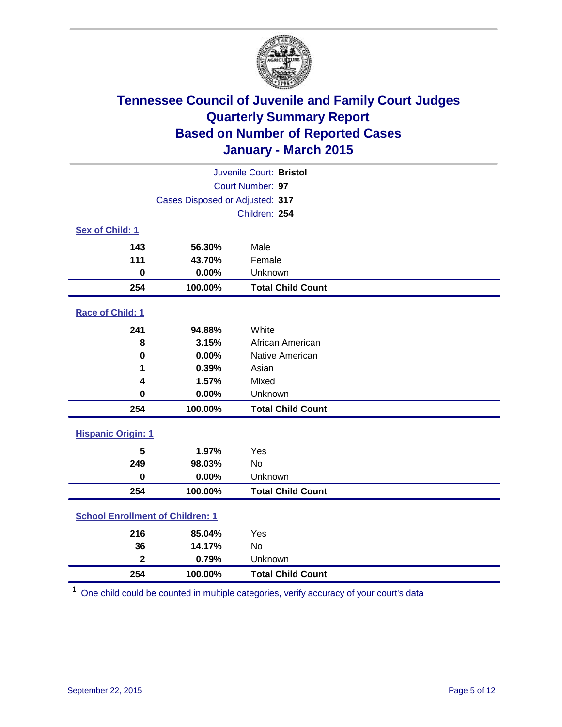

| Juvenile Court: Bristol                 |                                 |                          |  |  |  |
|-----------------------------------------|---------------------------------|--------------------------|--|--|--|
| Court Number: 97                        |                                 |                          |  |  |  |
|                                         | Cases Disposed or Adjusted: 317 |                          |  |  |  |
|                                         |                                 | Children: 254            |  |  |  |
| Sex of Child: 1                         |                                 |                          |  |  |  |
| 143                                     | 56.30%                          | Male                     |  |  |  |
| 111                                     | 43.70%                          | Female                   |  |  |  |
| $\mathbf 0$                             | 0.00%                           | Unknown                  |  |  |  |
| 254                                     | 100.00%                         | <b>Total Child Count</b> |  |  |  |
| Race of Child: 1                        |                                 |                          |  |  |  |
| 241                                     | 94.88%                          | White                    |  |  |  |
| 8                                       | 3.15%                           | African American         |  |  |  |
| $\mathbf 0$                             | 0.00%                           | Native American          |  |  |  |
| 1                                       | 0.39%                           | Asian                    |  |  |  |
| 4                                       | 1.57%                           | Mixed                    |  |  |  |
| 0                                       | 0.00%                           | Unknown                  |  |  |  |
| 254                                     | 100.00%                         | <b>Total Child Count</b> |  |  |  |
| <b>Hispanic Origin: 1</b>               |                                 |                          |  |  |  |
| 5                                       | 1.97%                           | Yes                      |  |  |  |
| 249                                     | 98.03%                          | <b>No</b>                |  |  |  |
| $\mathbf 0$                             | 0.00%                           | Unknown                  |  |  |  |
| 254                                     | 100.00%                         | <b>Total Child Count</b> |  |  |  |
| <b>School Enrollment of Children: 1</b> |                                 |                          |  |  |  |
| 216                                     | 85.04%                          | Yes                      |  |  |  |
| 36                                      | 14.17%                          | No                       |  |  |  |
| $\overline{\mathbf{2}}$                 | 0.79%                           | Unknown                  |  |  |  |
| 254                                     | 100.00%                         | <b>Total Child Count</b> |  |  |  |

One child could be counted in multiple categories, verify accuracy of your court's data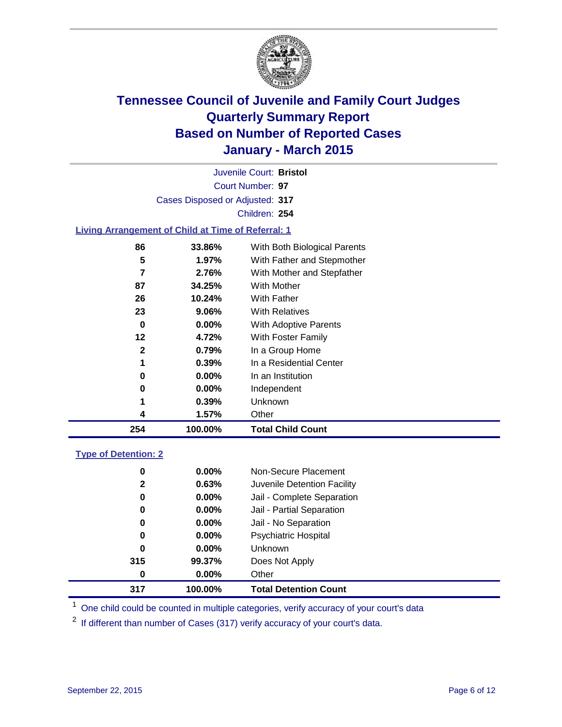

| Juvenile Court: Bristol         |  |
|---------------------------------|--|
| Court Number: 97                |  |
| Cases Disposed or Adjusted: 317 |  |
| Children: 254                   |  |

### **Living Arrangement of Child at Time of Referral: 1**

| 86           | 33.86%   | With Both Biological Parents |
|--------------|----------|------------------------------|
| 5            | 1.97%    | With Father and Stepmother   |
| 7            | 2.76%    | With Mother and Stepfather   |
| 87           | 34.25%   | <b>With Mother</b>           |
| 26           | 10.24%   | With Father                  |
| 23           | $9.06\%$ | <b>With Relatives</b>        |
| 0            | 0.00%    | <b>With Adoptive Parents</b> |
| 12           | 4.72%    | With Foster Family           |
| $\mathbf{2}$ | 0.79%    | In a Group Home              |
| 1            | 0.39%    | In a Residential Center      |
| 0            | $0.00\%$ | In an Institution            |
| 0            | $0.00\%$ | Independent                  |
| 1            | $0.39\%$ | Unknown                      |
| 4            | 1.57%    | Other                        |
| 254          | 100.00%  | <b>Total Child Count</b>     |

#### **Type of Detention: 2**

| 0<br>$\mathbf{2}$<br>0<br>0<br>0<br>0 | 0.00%<br>0.63%<br>$0.00\%$<br>0.00%<br>$0.00\%$<br>$0.00\%$ | Non-Secure Placement<br>Juvenile Detention Facility<br>Jail - Complete Separation<br>Jail - Partial Separation<br>Jail - No Separation<br><b>Psychiatric Hospital</b> |  |
|---------------------------------------|-------------------------------------------------------------|-----------------------------------------------------------------------------------------------------------------------------------------------------------------------|--|
| 0                                     | $0.00\%$                                                    | <b>Unknown</b>                                                                                                                                                        |  |
| 315                                   | 99.37%                                                      | Does Not Apply                                                                                                                                                        |  |
| 0                                     | $0.00\%$                                                    | Other                                                                                                                                                                 |  |
| 317                                   | 100.00%                                                     | <b>Total Detention Count</b>                                                                                                                                          |  |

<sup>1</sup> One child could be counted in multiple categories, verify accuracy of your court's data

If different than number of Cases (317) verify accuracy of your court's data.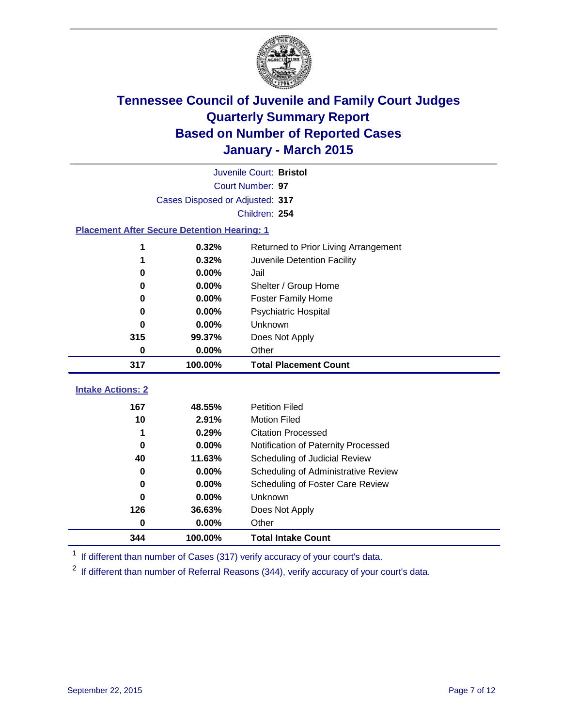

|                                                    | Juvenile Court: Bristol         |                                      |  |  |  |
|----------------------------------------------------|---------------------------------|--------------------------------------|--|--|--|
|                                                    | Court Number: 97                |                                      |  |  |  |
|                                                    | Cases Disposed or Adjusted: 317 |                                      |  |  |  |
|                                                    |                                 | Children: 254                        |  |  |  |
| <b>Placement After Secure Detention Hearing: 1</b> |                                 |                                      |  |  |  |
| 1                                                  | 0.32%                           | Returned to Prior Living Arrangement |  |  |  |
| 1                                                  | 0.32%                           | Juvenile Detention Facility          |  |  |  |
| 0                                                  | 0.00%                           | Jail                                 |  |  |  |
| 0                                                  | 0.00%                           | Shelter / Group Home                 |  |  |  |
| 0                                                  | 0.00%                           | <b>Foster Family Home</b>            |  |  |  |
| O                                                  | 0.00%                           | Psychiatric Hospital                 |  |  |  |
| 0                                                  | 0.00%                           | Unknown                              |  |  |  |
| 315                                                | 99.37%                          | Does Not Apply                       |  |  |  |
| 0                                                  | 0.00%                           | Other                                |  |  |  |
| 317                                                | 100.00%                         | <b>Total Placement Count</b>         |  |  |  |
|                                                    |                                 |                                      |  |  |  |
| <b>Intake Actions: 2</b>                           |                                 |                                      |  |  |  |
| 167                                                | 48.55%                          | <b>Petition Filed</b>                |  |  |  |
| 10                                                 | 2.91%                           | <b>Motion Filed</b>                  |  |  |  |
| 1                                                  | 0.29%                           | <b>Citation Processed</b>            |  |  |  |
| 0                                                  | 0.00%                           | Notification of Paternity Processed  |  |  |  |
| 40                                                 | 11.63%                          | Scheduling of Judicial Review        |  |  |  |
| 0                                                  | 0.00%                           | Scheduling of Administrative Review  |  |  |  |
| 0                                                  | 0.00%                           | Scheduling of Foster Care Review     |  |  |  |
| 0                                                  | 0.00%                           | Unknown                              |  |  |  |
| 126                                                | 36.63%                          | Does Not Apply                       |  |  |  |
| 0                                                  | 0.00%                           | Other                                |  |  |  |
| 344                                                | 100.00%                         | <b>Total Intake Count</b>            |  |  |  |

<sup>1</sup> If different than number of Cases (317) verify accuracy of your court's data.

If different than number of Referral Reasons (344), verify accuracy of your court's data.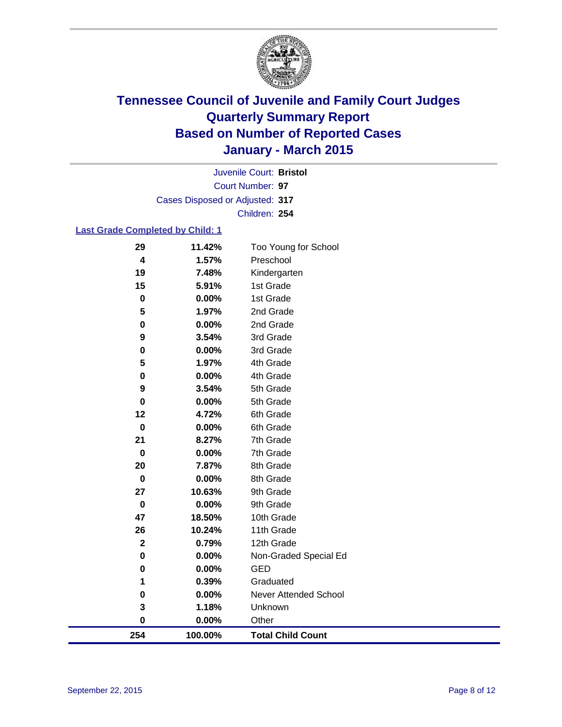

Court Number: **97** Juvenile Court: **Bristol** Cases Disposed or Adjusted: **317** Children: **254**

### **Last Grade Completed by Child: 1**

| 254              | 100.00%        | <b>Total Child Count</b>     |
|------------------|----------------|------------------------------|
| $\bf{0}$         | $0.00\%$       | Other                        |
| 3                | 1.18%          | Unknown                      |
| $\bf{0}$         | 0.00%          | <b>Never Attended School</b> |
| 1                | 0.39%          | Graduated                    |
| 0                | 0.00%          | <b>GED</b>                   |
| $\mathbf 0$      | 0.00%          | Non-Graded Special Ed        |
| $\mathbf 2$      | 0.79%          | 12th Grade                   |
| 26               | 10.24%         | 11th Grade                   |
| 47               | 18.50%         | 10th Grade                   |
| $\mathbf 0$      | 0.00%          | 9th Grade                    |
| 27               | 10.63%         | 9th Grade                    |
| $\mathbf 0$      | 0.00%          | 8th Grade                    |
| 20               | 7.87%          | 8th Grade                    |
| $\bf{0}$         | 0.00%          | 7th Grade                    |
| 21               | 8.27%          | 7th Grade                    |
| $\mathbf 0$      | 0.00%          | 6th Grade                    |
| 12               | 4.72%          | 6th Grade                    |
| $\mathbf 0$      | 0.00%          | 5th Grade                    |
| 9                | 3.54%          | 5th Grade                    |
| 0                | 0.00%          | 4th Grade                    |
| 5                | 1.97%          | 4th Grade                    |
| 0                | 0.00%          | 3rd Grade                    |
| 9                | 3.54%          | 3rd Grade                    |
| 0                | 0.00%          | 2nd Grade                    |
| $\mathbf 0$<br>5 | 0.00%<br>1.97% | 1st Grade<br>2nd Grade       |
| 15               | 5.91%          | 1st Grade                    |
| 19               | 7.48%          | Kindergarten                 |
| 4                | 1.57%          | Preschool                    |
| 29               | 11.42%         | Too Young for School         |
|                  |                |                              |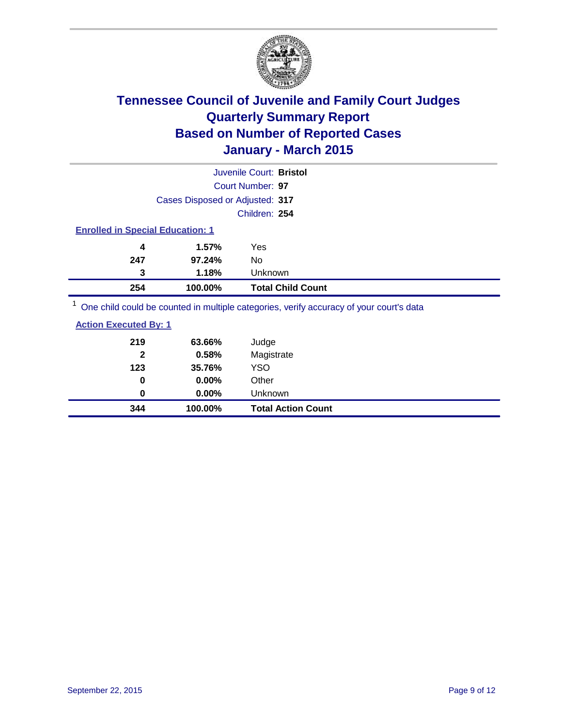

| Juvenile Court: Bristol                                                                 |                          |  |
|-----------------------------------------------------------------------------------------|--------------------------|--|
| Court Number: 97                                                                        |                          |  |
| Cases Disposed or Adjusted: 317                                                         |                          |  |
| Children: 254                                                                           |                          |  |
| <b>Enrolled in Special Education: 1</b>                                                 |                          |  |
| 1.57%<br>Yes<br>4                                                                       |                          |  |
| 247<br>97.24%<br>No                                                                     |                          |  |
| 1.18%<br>Unknown<br>3                                                                   |                          |  |
| 100.00%<br>254                                                                          | <b>Total Child Count</b> |  |
| One child could be counted in multiple categories, verify accuracy of your court's data |                          |  |

| 344                          | 100.00%  | <b>Total Action Count</b> |
|------------------------------|----------|---------------------------|
| 0                            | $0.00\%$ | Unknown                   |
| 0                            | $0.00\%$ | Other                     |
| 123                          | 35.76%   | <b>YSO</b>                |
| $\mathbf{2}$                 | 0.58%    | Magistrate                |
| 219                          | 63.66%   | Judge                     |
| <b>Action Executed By: 1</b> |          |                           |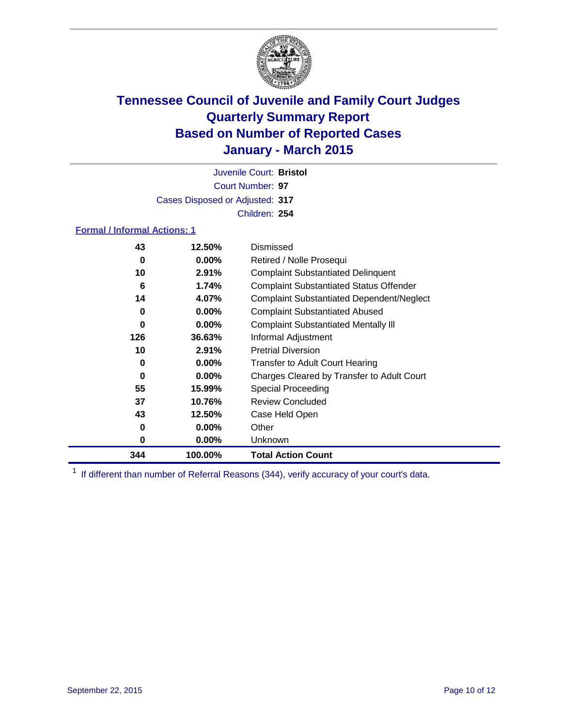

Court Number: **97** Juvenile Court: **Bristol** Cases Disposed or Adjusted: **317** Children: **254**

#### **Formal / Informal Actions: 1**

| 43  | 12.50%   | Dismissed                                        |
|-----|----------|--------------------------------------------------|
| 0   | $0.00\%$ | Retired / Nolle Prosequi                         |
| 10  | 2.91%    | <b>Complaint Substantiated Delinquent</b>        |
| 6   | 1.74%    | <b>Complaint Substantiated Status Offender</b>   |
| 14  | 4.07%    | <b>Complaint Substantiated Dependent/Neglect</b> |
| 0   | $0.00\%$ | <b>Complaint Substantiated Abused</b>            |
| 0   | $0.00\%$ | <b>Complaint Substantiated Mentally III</b>      |
| 126 | 36.63%   | Informal Adjustment                              |
| 10  | 2.91%    | <b>Pretrial Diversion</b>                        |
| 0   | $0.00\%$ | <b>Transfer to Adult Court Hearing</b>           |
| 0   | $0.00\%$ | Charges Cleared by Transfer to Adult Court       |
| 55  | 15.99%   | Special Proceeding                               |
| 37  | 10.76%   | <b>Review Concluded</b>                          |
| 43  | 12.50%   | Case Held Open                                   |
| 0   | $0.00\%$ | Other                                            |
| 0   | $0.00\%$ | Unknown                                          |
| 344 | 100.00%  | <b>Total Action Count</b>                        |

<sup>1</sup> If different than number of Referral Reasons (344), verify accuracy of your court's data.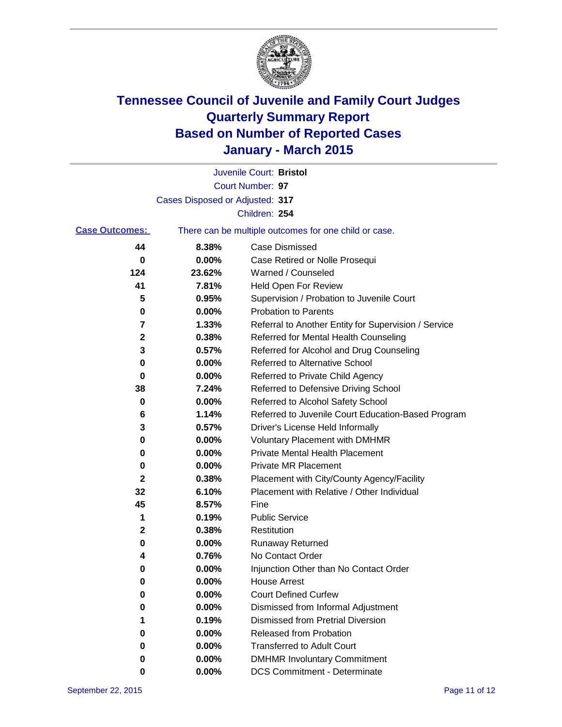

|                       |                                 | Juvenile Court: Bristol                               |
|-----------------------|---------------------------------|-------------------------------------------------------|
|                       |                                 | Court Number: 97                                      |
|                       | Cases Disposed or Adjusted: 317 |                                                       |
|                       |                                 | Children: 254                                         |
| <b>Case Outcomes:</b> |                                 | There can be multiple outcomes for one child or case. |
| 44                    | 8.38%                           | Case Dismissed                                        |
| 0                     | 0.00%                           | Case Retired or Nolle Prosequi                        |
| 124                   | 23.62%                          | Warned / Counseled                                    |
| 41                    | 7.81%                           | Held Open For Review                                  |
| 5                     | 0.95%                           | Supervision / Probation to Juvenile Court             |
| 0                     | 0.00%                           | <b>Probation to Parents</b>                           |
| 7                     | 1.33%                           | Referral to Another Entity for Supervision / Service  |
| 2                     | 0.38%                           | Referred for Mental Health Counseling                 |
| 3                     | 0.57%                           | Referred for Alcohol and Drug Counseling              |
| 0                     | 0.00%                           | <b>Referred to Alternative School</b>                 |
| 0                     | 0.00%                           | Referred to Private Child Agency                      |
| 38                    | 7.24%                           | Referred to Defensive Driving School                  |
| 0                     | 0.00%                           | Referred to Alcohol Safety School                     |
| 6                     | 1.14%                           | Referred to Juvenile Court Education-Based Program    |
| 3                     | 0.57%                           | Driver's License Held Informally                      |
| 0                     | 0.00%                           | <b>Voluntary Placement with DMHMR</b>                 |
| 0                     | 0.00%                           | <b>Private Mental Health Placement</b>                |
| 0                     | 0.00%                           | <b>Private MR Placement</b>                           |
| $\mathbf{2}$          | 0.38%                           | Placement with City/County Agency/Facility            |
| 32                    | 6.10%                           | Placement with Relative / Other Individual            |
| 45                    | 8.57%                           | Fine                                                  |
| 1                     | 0.19%                           | <b>Public Service</b>                                 |
| 2                     | 0.38%                           | Restitution                                           |
| 0                     | $0.00\%$                        | <b>Runaway Returned</b>                               |
| 4                     | 0.76%                           | No Contact Order                                      |
| 0                     | 0.00%                           | Injunction Other than No Contact Order                |
| 0                     | 0.00%                           | <b>House Arrest</b>                                   |
| 0                     | 0.00%                           | <b>Court Defined Curfew</b>                           |
| 0                     | 0.00%                           | Dismissed from Informal Adjustment                    |
| 1                     | 0.19%                           | <b>Dismissed from Pretrial Diversion</b>              |
| 0                     | 0.00%                           | Released from Probation                               |
| 0                     | 0.00%                           | <b>Transferred to Adult Court</b>                     |
| 0                     | 0.00%                           | <b>DMHMR Involuntary Commitment</b>                   |
| 0                     | 0.00%                           | <b>DCS Commitment - Determinate</b>                   |